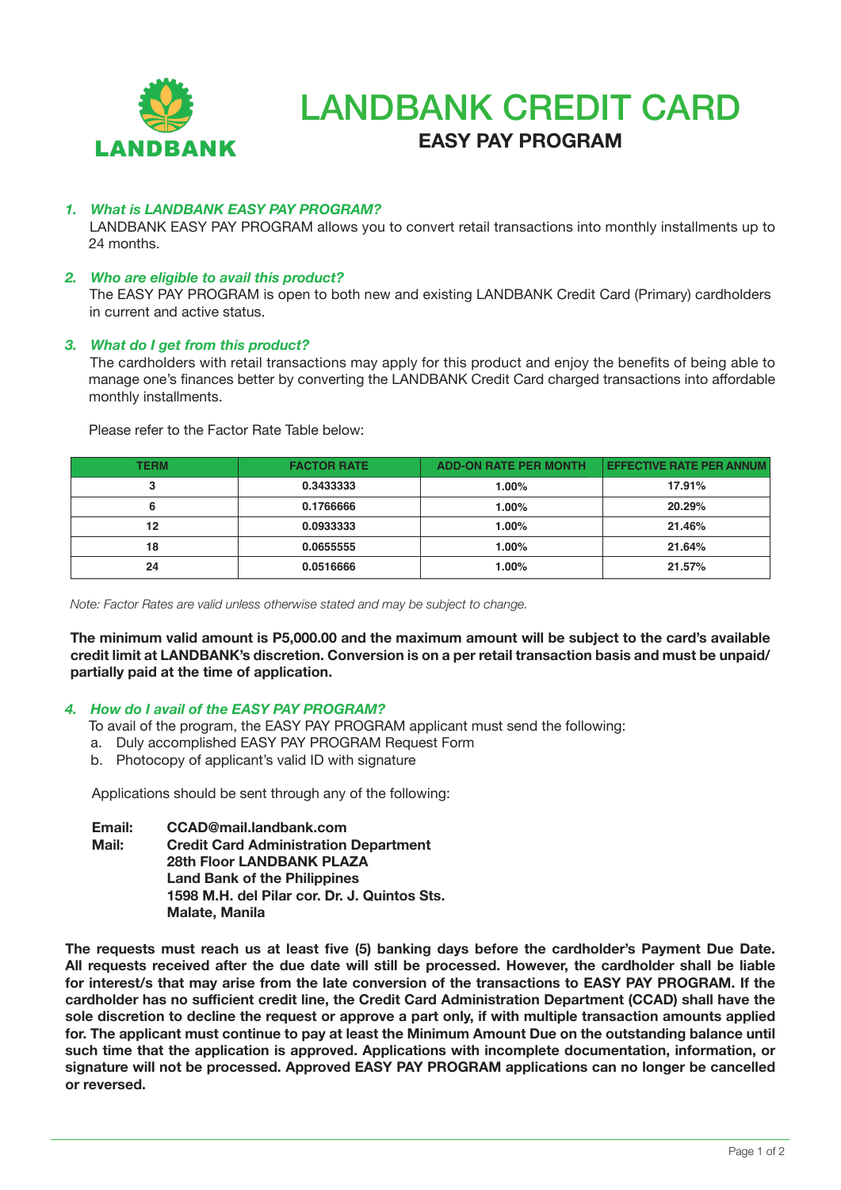

# LANDBANK CREDIT CARD **EASY PAY PROGRAM**

# *1. What is LANDBANK EASY PAY PROGRAM?*

 LANDBANK EASY PAY PROGRAM allows you to convert retail transactions into monthly installments up to 24 months.

## *2. Who are eligible to avail this product?*

 The EASY PAY PROGRAM is open to both new and existing LANDBANK Credit Card (Primary) cardholders in current and active status.

## *3. What do I get from this product?*

 The cardholders with retail transactions may apply for this product and enjoy the benefits of being able to manage one's finances better by converting the LANDBANK Credit Card charged transactions into affordable monthly installments.

| <b>TERM</b> | <b>FACTOR RATE</b> | <b>ADD-ON RATE PER MONTH</b> | <b>EFFECTIVE RATE PER ANNUM</b> |
|-------------|--------------------|------------------------------|---------------------------------|
| 3           | 0.3433333          | $1.00\%$                     | 17.91%                          |
| 6           | 0.1766666          | $1.00\%$                     | 20.29%                          |
| 12          | 0.0933333          | $1.00\%$                     | 21.46%                          |
| 18          | 0.0655555          | 1.00%                        | 21.64%                          |
| 24          | 0.0516666          | 1.00%                        | 21.57%                          |

Please refer to the Factor Rate Table below:

*Note: Factor Rates are valid unless otherwise stated and may be subject to change.*

**The minimum valid amount is P5,000.00 and the maximum amount will be subject to the card's available credit limit at LANDBANK's discretion. Conversion is on a per retail transaction basis and must be unpaid/ partially paid at the time of application.**

## *4. How do I avail of the EASY PAY PROGRAM?*

To avail of the program, the EASY PAY PROGRAM applicant must send the following:

- a. Duly accomplished EASY PAY PROGRAM Request Form
- b. Photocopy of applicant's valid ID with signature

Applications should be sent through any of the following:

 **Email: CCAD@mail.landbank.com Mail: Credit Card Administration Department 28th Floor LANDBANK PLAZA Land Bank of the Philippines 1598 M.H. del Pilar cor. Dr. J. Quintos Sts. Malate, Manila**

**The requests must reach us at least five (5) banking days before the cardholder's Payment Due Date. All requests received after the due date will still be processed. However, the cardholder shall be liable for interest/s that may arise from the late conversion of the transactions to EASY PAY PROGRAM. If the cardholder has no sufficient credit line, the Credit Card Administration Department (CCAD) shall have the sole discretion to decline the request or approve a part only, if with multiple transaction amounts applied for. The applicant must continue to pay at least the Minimum Amount Due on the outstanding balance until such time that the application is approved. Applications with incomplete documentation, information, or signature will not be processed. Approved EASY PAY PROGRAM applications can no longer be cancelled or reversed.**